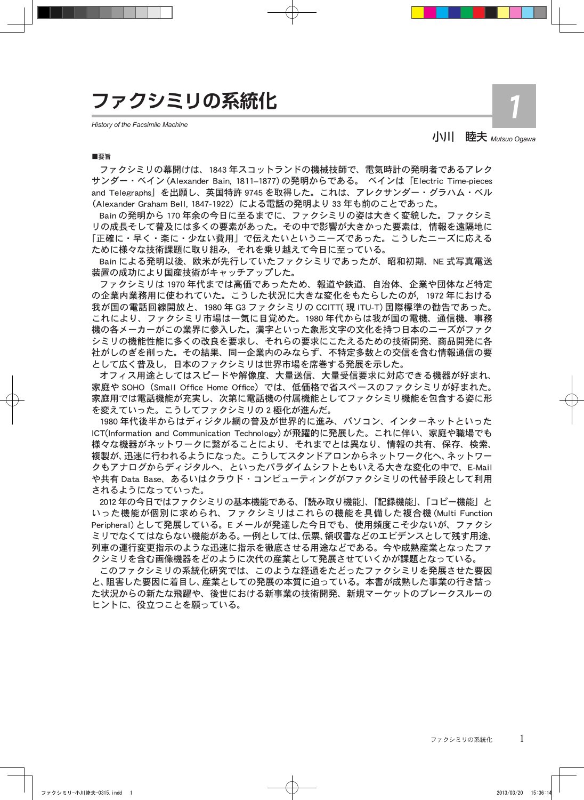## **ファクシミリの系統化**

*History of the Facsimile Machine*

## 小川 睦夫 *Mutsuo Ogawa*

1

#### ■要旨

ファクシミリの幕開けは、1843 年スコットランドの機械技師で、電気時計の発明者であるアレク サンダー・ベイン (Alexander Bain, 1811–1877) の発明からである。 ベインは 「Electric Time-pieces and Telegraphs」 を出願し、英国特許 9745 を取得した。これは、アレクサンダー・グラハム・ベル (Alexander Graham Bell, 1847-1922)による電話の発明より 33 年も前のことであった。

Bain の発明から 170 年余の今日に至るまでに、ファクシミリの姿は大きく変貌した。ファクシミ リの成長そして普及には多くの要素があった。その中で影響が大きかった要素は,情報を遠隔地に 「正確に・早く・楽に・少ない費用」で伝えたいというニーズであった。こうしたニーズに応える ために様々な技術課題に取り組み,それを乗り越えて今日に至っている。

Bain による発明以後、欧米が先行していたファクシミリであったが、昭和初期、NE 式写真電送 装置の成功により国産技術がキャッチアップした。

ファクシミリは 1970 年代までは高価であったため、報道や鉄道、自治体、企業や団体など特定 の企業内業務用に使われていた。こうした状況に大きな変化をもたらしたのが,1972 年における 我が国の電話回線開放と、1980 年 G3 ファクシミリの CCITT( 現 ITU-T) 国際標準の勧告であった。 これにより、ファクシミリ市場は一気に目覚めた。1980 年代からは我が国の電機、通信機、事務 機の各メーカーがこの業界に参入した。漢字といった象形文字の文化を持つ日本のニーズがファク シミリの機能性能に多くの改良を要求し、それらの要求にこたえるための技術開発、商品開発に各 社がしのぎを削った。その結果、同一企業内のみならず、不特定多数との交信を含む情報通信の要 として広く普及し,日本のファクシミリは世界市場を席巻する発展を示した。

オフィス用途としてはスピードや解像度、大量送信、大量受信要求に対応できる機器が好まれ、 家庭や SOHO(Small Office Home Office)では、低価格で省スペースのファクシミリが好まれた。 家庭用では電話機能が充実し、次第に電話機の付属機能としてファクシミリ機能を包含する姿に形 を変えていった。こうしてファクシミリの 2 極化が進んだ。

1980 年代後半からはディジタル網の普及が世界的に進み、パソコン、インターネットといった ICT(Information and Communication Technology) が飛躍的に発展した。これに伴い、家庭や職場でも 様々な機器がネットワークに繋がることにより、それまでとは異なり、情報の共有、保存、検索、 複製が、迅速に行われるようになった。こうしてスタンドアロンからネットワーク化へ、ネットワー クもアナログからディジタルへ、といったパラダイムシフトともいえる大きな変化の中で、E-Mail や共有 Data Base、あるいはクラウド・コンピューティングがファクシミリの代替手段として利用 されるようになっていった。

2012 年の今日ではファクシミリの基本機能である、「読み取り機能」、「記録機能」、「コピー機能」 と いった機能が個別に求められ、ファクシミリはこれらの機能を具備した複合機 (Multi Function Peripheral) として発展している。E メールが発達した今日でも、使用頻度こそ少ないが、ファクシ ミリでなくてはならない機能がある。一例としては、伝票、領収書などのエビデンスとして残す用途、 列車の運行変更指示のような迅速に指示を徹底させる用途などである。今や成熟産業となったファ クシミリを含む画像機器をどのように次代の産業として発展させていくかが課題となっている。

このファクシミリの系統化研究では、このような経過をたどったファクシミリを発展させた要因 と、阻害した要因に着目し、産業としての発展の本質に迫っている。本書が成熟した事業の行き詰っ た状況からの新たな飛躍や、後世における新事業の技術開発、新規マーケットのブレークスルーの ヒントに、役立つことを願っている。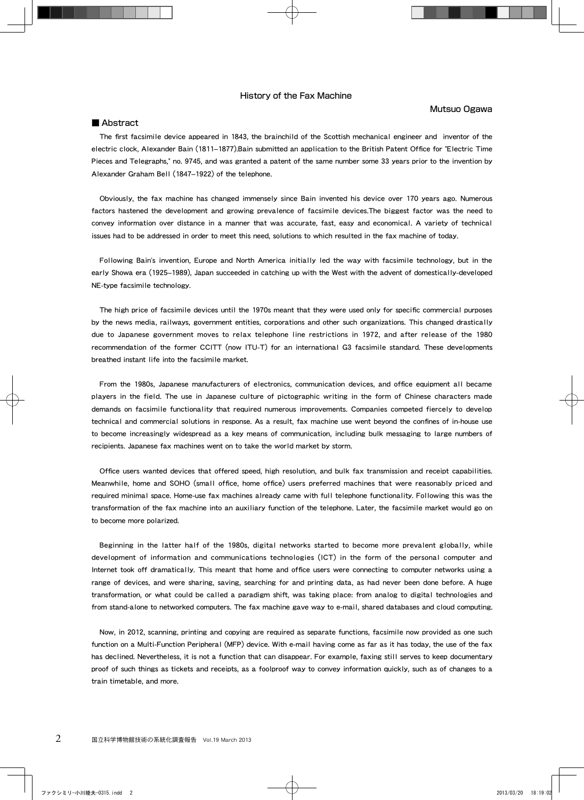#### History of the Fax Machine

#### Mutsuo Ogawa

#### ■ Abstract

The first facsimile device appeared in 1843, the brainchild of the Scottish mechanical engineer and inventor of the electric clock, Alexander Bain (1811–1877).Bain submitted an application to the British Patent Office for "Electric Time Pieces and Telegraphs," no. 9745, and was granted a patent of the same number some 33 years prior to the invention by Alexander Graham Bell (1847–1922) of the telephone.

Obviously, the fax machine has changed immensely since Bain invented his device over 170 years ago. Numerous factors hastened the development and growing prevalence of facsimile devices.The biggest factor was the need to convey information over distance in a manner that was accurate, fast, easy and economical. A variety of technical issues had to be addressed in order to meet this need, solutions to which resulted in the fax machine of today.

Following Bain's invention, Europe and North America initially led the way with facsimile technology, but in the early Showa era (1925–1989), Japan succeeded in catching up with the West with the advent of domestically-developed NE-type facsimile technology.

The high price of facsimile devices until the 1970s meant that they were used only for specific commercial purposes by the news media, railways, government entities, corporations and other such organizations. This changed drastically due to Japanese government moves to relax telephone line restrictions in 1972, and after release of the 1980 recommendation of the former CCITT (now ITU-T) for an international G3 facsimile standard. These developments breathed instant life into the facsimile market.

From the 1980s, Japanese manufacturers of electronics, communication devices, and office equipment all became players in the field. The use in Japanese culture of pictographic writing in the form of Chinese characters made demands on facsimile functionality that required numerous improvements. Companies competed fiercely to develop technical and commercial solutions in response. As a result, fax machine use went beyond the confines of in-house use to become increasingly widespread as a key means of communication, including bulk messaging to large numbers of recipients. Japanese fax machines went on to take the world market by storm.

Office users wanted devices that offered speed, high resolution, and bulk fax transmission and receipt capabilities. Meanwhile, home and SOHO (small office, home office) users preferred machines that were reasonably priced and required minimal space. Home-use fax machines already came with full telephone functionality. Following this was the transformation of the fax machine into an auxiliary function of the telephone. Later, the facsimile market would go on to become more polarized.

Beginning in the latter half of the 1980s, digital networks started to become more prevalent globally, while development of information and communications technologies (ICT) in the form of the personal computer and Internet took off dramatically. This meant that home and office users were connecting to computer networks using a range of devices, and were sharing, saving, searching for and printing data, as had never been done before. A huge transformation, or what could be called a paradigm shift, was taking place: from analog to digital technologies and from stand-alone to networked computers. The fax machine gave way to e-mail, shared databases and cloud computing.

Now, in 2012, scanning, printing and copying are required as separate functions, facsimile now provided as one such function on a Multi-Function Peripheral (MFP) device. With e-mail having come as far as it has today, the use of the fax has declined. Nevertheless, it is not a function that can disappear. For example, faxing still serves to keep documentary proof of such things as tickets and receipts, as a foolproof way to convey information quickly, such as of changes to a train timetable, and more.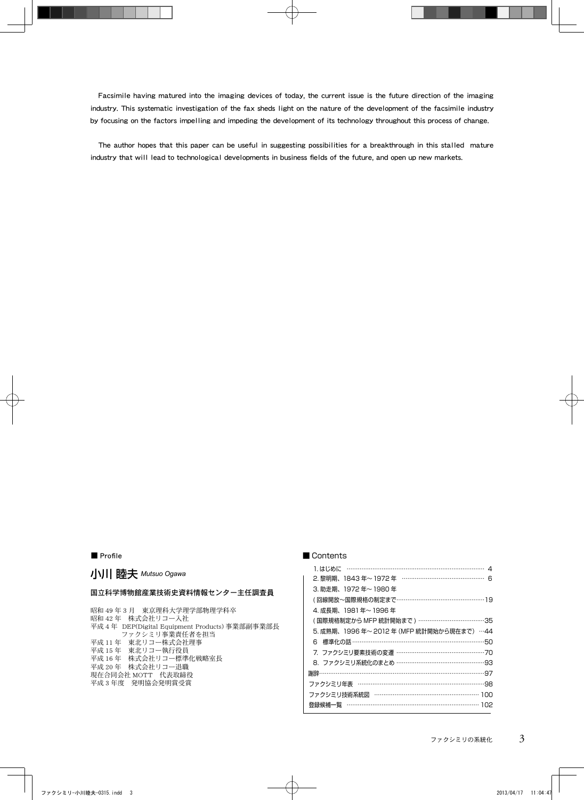Facsimile having matured into the imaging devices of today, the current issue is the future direction of the imaging industry. This systematic investigation of the fax sheds light on the nature of the development of the facsimile industry by focusing on the factors impelling and impeding the development of its technology throughout this process of change.

The author hopes that this paper can be useful in suggesting possibilities for a breakthrough in this stalled mature industry that will lead to technological developments in business fields of the future, and open up new markets.

#### ■ Profile

## 小川 睦夫 *Mutsuo Ogawa*

#### 国立科学博物館産業技術史資料情報センター主任調査員

昭和 49 年 3 月 東京理科大学理学部物理学科卒 昭和 42 年 株式会社リコー入社 平成 4 年 DEP(Digital Equipment Products) 事業部副事業部長 ファクシミリ事業責任者を担当 平成 11 年 東北リコー株式会社理事 平成 15 年 東北リコー執行役員 平成 16 年 株式会社リコー標準化戦略室長 平成 20 年 株式会社リコー退職 現在合同会社 MOTT 代表取締役 平成 3 年度 発明協会発明賞受賞

#### ■ Contents

| 2. 黎明期、1843年~1972年 ……………………………………… 6       |  |
|--------------------------------------------|--|
| 3. 助走期、1972年~1980年                         |  |
| (回線開放~国際規格の制定まで…………………………………………19          |  |
| 4. 成長期、1981年~1996年                         |  |
| (国際規格制定から MFP 統計開始まで ) ………………………………35      |  |
| 5. 成熟期、1996 年~ 2012 年 (MFP 統計開始から現在まで) …44 |  |
| 標準化の話 ……………………………………………………………50<br>6.      |  |
| 7. ファクシミリ要素技術の変遷 …………………………………………… 70      |  |
| 8. ファクシミリ系統化のまとめ …………………………………………93        |  |
| 謝辞………………………………………………………………………………………97      |  |
|                                            |  |
| ファクシミリ技術系統図 ……………………………………………… 100         |  |
| 登録候補一覧 …………………………………………………………… 102         |  |
|                                            |  |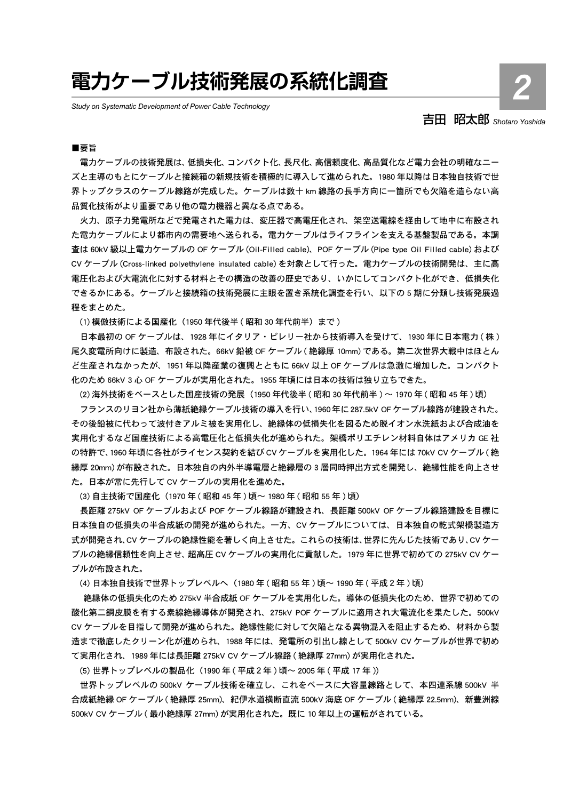# **電力ケーブル技術発展の系統化調査**

*Study on Systematic Development of Power Cable Technology* 

## 吉田 昭太郎 *Shotaro Yoshida*

2

#### ■要旨

電力ケーブルの技術発展は、低損失化、コンパクト化、長尺化、高信頼度化、高品質化など電力会社の明確なニー ズと主導のもとにケーブルと接続箱の新規技術を積極的に導入して進められた。1980 年以降は日本独自技術で世 界トップクラスのケーブル線路が完成した。ケーブルは数十 km 線路の長手方向に一箇所でも欠陥を造らない高 品質化技術がより重要であり他の電力機器と異なる点である。

火力、原子力発電所などで発電された電力は、変圧器で高電圧化され、架空送電線を経由して地中に布設され た電力ケーブルにより都市内の需要地へ送られる。電力ケーブルはライフラインを支える基盤製品である。本調 査は 60kV 級以上電力ケーブルの OF ケーブル (Oil-Filled cable)、POF ケーブル (Pipe type Oil Filled cable) および CV ケーブル (Cross-linked polyethylene insulated cable) を対象として行った。電力ケーブルの技術開発は、主に高 電圧化および大電流化に対する材料とその構造の改善の歴史であり、いかにしてコンパクト化ができ、低損失化 できるかにある。ケーブルと接続箱の技術発展に主眼を置き系統化調査を行い、以下の 5 期に分類し技術発展過 程をまとめた。

(1) 模倣技術による国産化(1950 年代後半 ( 昭和 30 年代前半)まで )

日本最初の OF ケーブルは、1928 年にイタリア・ピレリー社から技術導入を受けて、1930 年に日本電力 ( 株 ) 尾久変電所向けに製造、布設された。66kV 鉛被 OF ケーブル ( 絶縁厚 10mm) である。第二次世界大戦中はほとん ど生産されなかったが、1951 年以降産業の復興とともに 66kV 以上 OF ケーブルは急激に増加した。コンパクト 化のため 66kV 3 心 OF ケーブルが実用化された。1955 年頃には日本の技術は独り立ちできた。

(2) 海外技術をベースとした国産技術の発展(1950 年代後半 ( 昭和 30 年代前半 ) ~ 1970 年 ( 昭和 45 年 ) 頃)

フランスのリヨン社から薄紙絶縁ケーブル技術の導入を行い、1960年に287.5kV OFケーブル線路が建設された。 その後鉛被に代わって波付きアルミ被を実用化し、絶縁体の低損失化を図るため脱イオン水洗紙および合成油を 実用化するなど国産技術による高電圧化と低損失化が進められた。架橋ポリエチレン材料自体はアメリカ GE 社 の特許で、1960 年頃に各社がライセンス契約を結び CV ケーブルを実用化した。1964 年には 70kV CV ケーブル ( 絶 縁厚 20mm) が布設された。日本独自の内外半導電層と絶縁層の 3 層同時押出方式を開発し、絶縁性能を向上させ た。日本が常に先行して CV ケーブルの実用化を進めた。

(3) 自主技術で国産化 (1970 年 (昭和 45 年) 頃~ 1980 年 (昭和 55 年) 頃)

長距離 275kV OF ケーブルおよび POF ケーブル線路が建設され、長距離 500kV OF ケーブル線路建設を目標に 日本独自の低損失の半合成紙の開発が進められた。一方、CV ケーブルについては、日本独自の乾式架橋製造方 式が開発され、CV ケーブルの絶縁性能を著しく向上させた。これらの技術は、世界に先んじた技術であり、CV ケー ブルの絶縁信頼性を向上させ、超高圧 CV ケーブルの実用化に貢献した。1979 年に世界で初めての 275kV CV ケー ブルが布設された。

(4) 日本独自技術で世界トップレベルへ(1980 年 ( 昭和 55 年 ) 頃〜 1990 年 ( 平成 2 年 ) 頃)

 絶縁体の低損失化のため 275kV 半合成紙 OF ケーブルを実用化した。導体の低損失化のため、世界で初めての 酸化第二銅皮膜を有する素線絶縁導体が開発され、275kV POF ケーブルに適用され大電流化を果たした。500kV CV ケーブルを目指して開発が進められた。絶縁性能に対して欠陥となる異物混入を阻止するため、材料から製 造まで徹底したクリーン化が進められ、1988 年には、発電所の引出し線として 500kV CV ケーブルが世界で初め て実用化され、1989 年には長距離 275kV CV ケーブル線路 ( 絶縁厚 27mm) が実用化された。

(5) 世界トップレベルの製品化(1990 年 ( 平成 2 年 ) 頃~ 2005 年 ( 平成 17 年 ))

世界トップレベルの 500kV ケーブル技術を確立し、これをベースに大容量線路として、本四連系線 500kV 半 合成紙絶縁 OF ケーブル ( 絶縁厚 25mm)、紀伊水道横断直流 500kV 海底 OF ケーブル ( 絶縁厚 22.5mm)、新豊洲線 500kV CV ケーブル ( 最小絶縁厚 27mm) が実用化された。既に 10 年以上の運転がされている。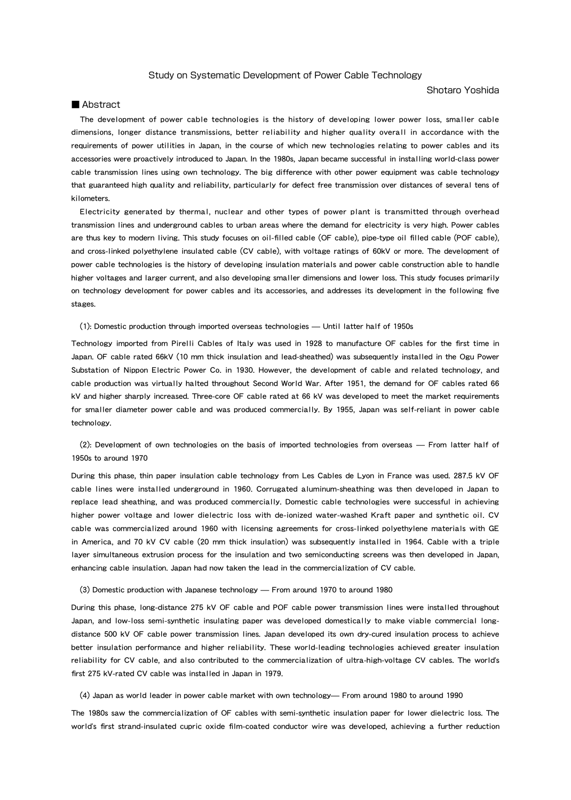#### Study on Systematic Development of Power Cable Technology

#### Shotaro Yoshida

#### ■ Abstract

The development of power cable technologies is the history of developing lower power loss, smaller cable dimensions, longer distance transmissions, better reliability and higher quality overall in accordance with the requirements of power utilities in Japan, in the course of which new technologies relating to power cables and its accessories were proactively introduced to Japan. In the 1980s, Japan became successful in installing world-class power cable transmission lines using own technology. The big difference with other power equipment was cable technology that guaranteed high quality and reliability, particularly for defect free transmission over distances of several tens of kilometers.

Electricity generated by thermal, nuclear and other types of power plant is transmitted through overhead transmission lines and underground cables to urban areas where the demand for electricity is very high. Power cables are thus key to modern living. This study focuses on oil-filled cable (OF cable), pipe-type oil filled cable (POF cable), and cross-linked polyethylene insulated cable (CV cable), with voltage ratings of 60kV or more. The development of power cable technologies is the history of developing insulation materials and power cable construction able to handle higher voltages and larger current, and also developing smaller dimensions and lower loss. This study focuses primarily on technology development for power cables and its accessories, and addresses its development in the following five stages.

(1): Domestic production through imported overseas technologies — Until latter half of 1950s

Technology imported from Pirelli Cables of Italy was used in 1928 to manufacture OF cables for the first time in Japan. OF cable rated 66kV (10 mm thick insulation and lead-sheathed) was subsequently installed in the Ogu Power Substation of Nippon Electric Power Co. in 1930. However, the development of cable and related technology, and cable production was virtually halted throughout Second World War. After 1951, the demand for OF cables rated 66 kV and higher sharply increased. Three-core OF cable rated at 66 kV was developed to meet the market requirements for smaller diameter power cable and was produced commercially. By 1955, Japan was self-reliant in power cable technology.

(2): Development of own technologies on the basis of imported technologies from overseas — From latter half of 1950s to around 1970

During this phase, thin paper insulation cable technology from Les Cables de Lyon in France was used. 287.5 kV OF cable lines were installed underground in 1960. Corrugated aluminum-sheathing was then developed in Japan to replace lead sheathing, and was produced commercially. Domestic cable technologies were successful in achieving higher power voltage and lower dielectric loss with de-ionized water-washed Kraft paper and synthetic oil. CV cable was commercialized around 1960 with licensing agreements for cross-linked polyethylene materials with GE in America, and 70 kV CV cable (20 mm thick insulation) was subsequently installed in 1964. Cable with a triple layer simultaneous extrusion process for the insulation and two semiconducting screens was then developed in Japan, enhancing cable insulation. Japan had now taken the lead in the commercialization of CV cable.

#### (3) Domestic production with Japanese technology — From around 1970 to around 1980

During this phase, long-distance 275 kV OF cable and POF cable power transmission lines were installed throughout Japan, and low-loss semi-synthetic insulating paper was developed domestically to make viable commercial longdistance 500 kV OF cable power transmission lines. Japan developed its own dry-cured insulation process to achieve better insulation performance and higher reliability. These world-leading technologies achieved greater insulation reliability for CV cable, and also contributed to the commercialization of ultra-high-voltage CV cables. The world's first 275 kV-rated CV cable was installed in Japan in 1979.

(4) Japan as world leader in power cable market with own technology— From around 1980 to around 1990

The 1980s saw the commercialization of OF cables with semi-synthetic insulation paper for lower dielectric loss. The world's first strand-insulated cupric oxide film-coated conductor wire was developed, achieving a further reduction